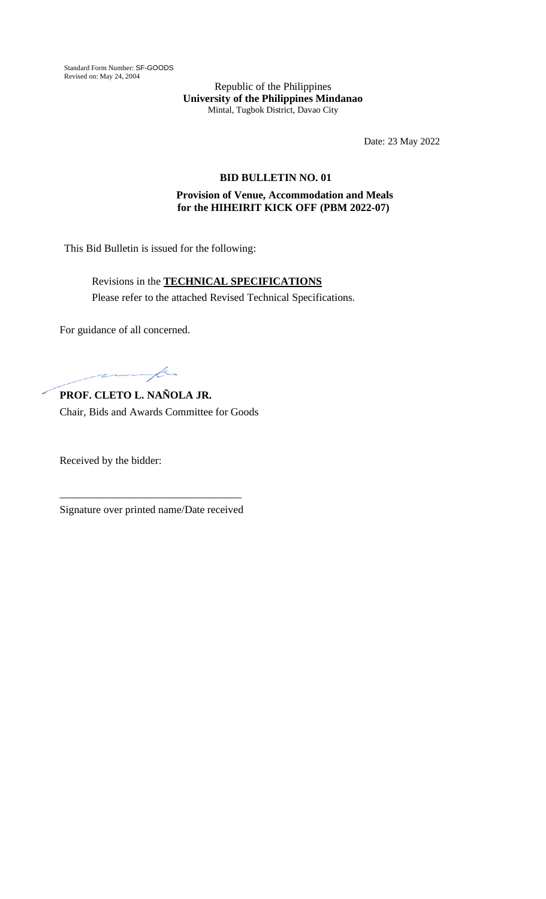Standard Form Number: SF-GOODS Revised on: May 24, 2004

Republic of the Philippines **University of the Philippines Mindanao** Mintal, Tugbok District, Davao City

Date: 23 May 2022

## **BID BULLETIN NO. 01**

## **Provision of Venue, Accommodation and Meals for the HIHEIRIT KICK OFF (PBM 2022-07)**

This Bid Bulletin is issued for the following:

Revisions in the **TECHNICAL SPECIFICATIONS** Please refer to the attached Revised Technical Specifications.

For guidance of all concerned.

fe  $\overline{\phantom{a}}$ 

**PROF. CLETO L. NAÑOLA JR.** Chair, Bids and Awards Committee for Goods

Received by the bidder:

\_\_\_\_\_\_\_\_\_\_\_\_\_\_\_\_\_\_\_\_\_\_\_\_\_\_\_\_\_\_\_\_\_\_ Signature over printed name/Date received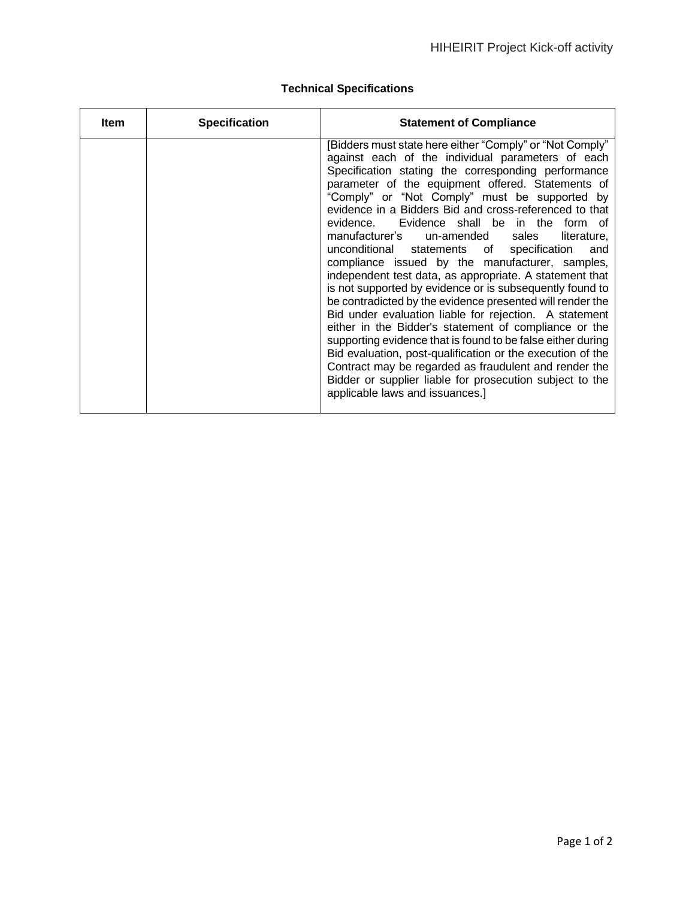| <b>Item</b> | <b>Specification</b> | <b>Statement of Compliance</b>                                                                                                                                                                                                                                                                                                                                                                                                                                                                                                                                                                                                                                                                                                                                                                                                                                                                                                                                                                                                                                                                                                             |
|-------------|----------------------|--------------------------------------------------------------------------------------------------------------------------------------------------------------------------------------------------------------------------------------------------------------------------------------------------------------------------------------------------------------------------------------------------------------------------------------------------------------------------------------------------------------------------------------------------------------------------------------------------------------------------------------------------------------------------------------------------------------------------------------------------------------------------------------------------------------------------------------------------------------------------------------------------------------------------------------------------------------------------------------------------------------------------------------------------------------------------------------------------------------------------------------------|
|             |                      | [Bidders must state here either "Comply" or "Not Comply"<br>against each of the individual parameters of each<br>Specification stating the corresponding performance<br>parameter of the equipment offered. Statements of<br>"Comply" or "Not Comply" must be supported by<br>evidence in a Bidders Bid and cross-referenced to that<br>evidence. Evidence shall be in the form of<br>un-amended sales<br>manufacturer's<br>literature.<br>unconditional statements of specification<br>and<br>compliance issued by the manufacturer, samples,<br>independent test data, as appropriate. A statement that<br>is not supported by evidence or is subsequently found to<br>be contradicted by the evidence presented will render the<br>Bid under evaluation liable for rejection. A statement<br>either in the Bidder's statement of compliance or the<br>supporting evidence that is found to be false either during<br>Bid evaluation, post-qualification or the execution of the<br>Contract may be regarded as fraudulent and render the<br>Bidder or supplier liable for prosecution subject to the<br>applicable laws and issuances.] |